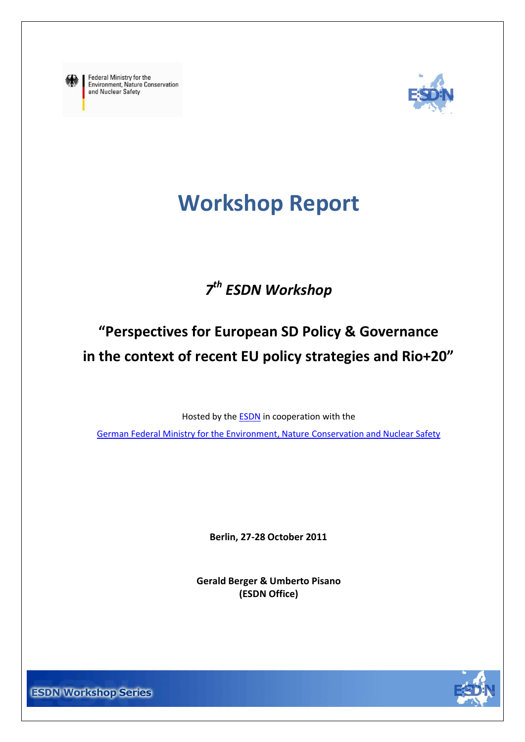<span id="page-0-0"></span>

Federal Ministry for the Environment, Nature Conservation and Nuclear Safety



# **Workshop Report**

# *7 th ESDN Workshop*

# **"Perspectives for European SD Policy & Governance in the context of recent EU policy strategies and Rio+20"**

Hosted by the [ESDN](http://www.sd-network.eu/) in cooperation with the

[German Federal Ministry for the Environment,](http://www.bmu.de/english/aktuell/4152.php) Nature Conservation and Nuclear Safety

**Berlin, 27-28 October 2011**

**Gerald Berger & Umberto Pisano (ESDN Office)**



**ESDN Workshop Series**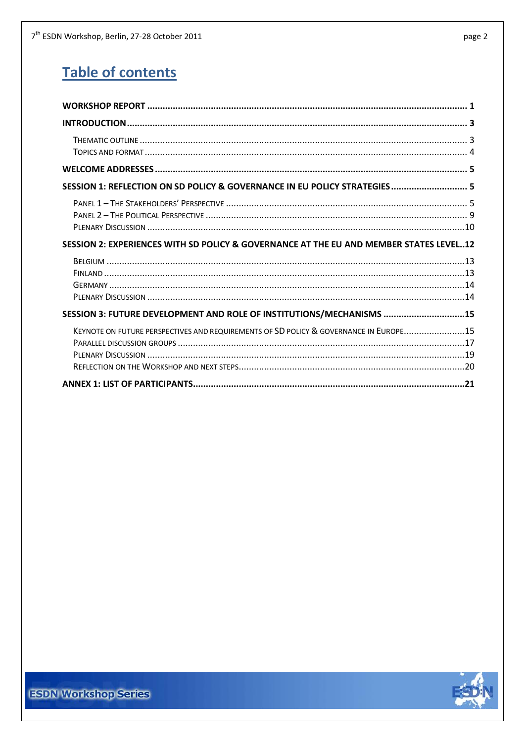| SESSION 1: REFLECTION ON SD POLICY & GOVERNANCE IN EU POLICY STRATEGIES 5              |  |
|----------------------------------------------------------------------------------------|--|
|                                                                                        |  |
|                                                                                        |  |
|                                                                                        |  |
| SESSION 2: EXPERIENCES WITH SD POLICY & GOVERNANCE AT THE EU AND MEMBER STATES LEVEL12 |  |
|                                                                                        |  |
|                                                                                        |  |
|                                                                                        |  |
|                                                                                        |  |
| SESSION 3: FUTURE DEVELOPMENT AND ROLE OF INSTITUTIONS/MECHANISMS 15                   |  |
| KEYNOTE ON FUTURE PERSPECTIVES AND REQUIREMENTS OF SD POLICY & GOVERNANCE IN EUROPE15  |  |
|                                                                                        |  |
|                                                                                        |  |
|                                                                                        |  |
|                                                                                        |  |

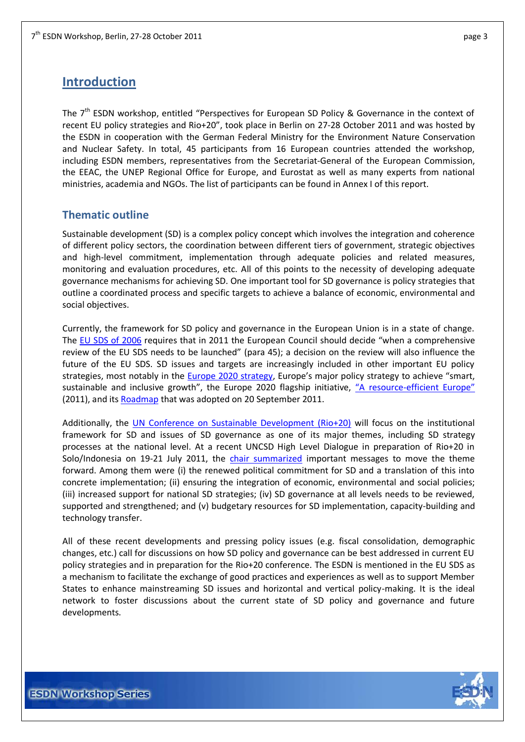## <span id="page-2-0"></span>**Introduction**

The 7<sup>th</sup> ESDN workshop, entitled "Perspectives for European SD Policy & Governance in the context of recent EU policy strategies and Rio+20", took place in Berlin on 27-28 October 2011 and was hosted by the ESDN in cooperation with the German Federal Ministry for the Environment Nature Conservation and Nuclear Safety. In total, 45 participants from 16 European countries attended the workshop, including ESDN members, representatives from the Secretariat-General of the European Commission, the EEAC, the UNEP Regional Office for Europe, and Eurostat as well as many experts from national ministries, academia and NGOs. The list of participants can be found in Annex I of this report.

## <span id="page-2-1"></span>**Thematic outline**

Sustainable development (SD) is a complex policy concept which involves the integration and coherence of different policy sectors, the coordination between different tiers of government, strategic objectives and high-level commitment, implementation through adequate policies and related measures, monitoring and evaluation procedures, etc. All of this points to the necessity of developing adequate governance mechanisms for achieving SD. One important tool for SD governance is policy strategies that outline a coordinated process and specific targets to achieve a balance of economic, environmental and social objectives.

Currently, the framework for SD policy and governance in the European Union is in a state of change. The [EU SDS of 2006](http://register.consilium.europa.eu/pdf/en/06/st10/st10917.en06.pdf) requires that in 2011 the European Council should decide "when a comprehensive review of the EU SDS needs to be launched" (para 45); a decision on the review will also influence the future of the EU SDS. SD issues and targets are increasingly included in other important EU policy strategies, most notably in the **Europe 2020 strategy**, Europe's major policy strategy to achieve "smart, sustainable and inclusive growth", the Europe 2020 flagship initiative, "A resource-[efficient Europe"](http://ec.europa.eu/resource-efficient-europe/pdf/resource_efficient_europe_en.pdf) (2011), and its [Roadmap](http://ec.europa.eu/environment/resource_efficiency/pdf/com2011_571.pdf) that was adopted on 20 September 2011.

Additionally, the [UN Conference on Sustainable Development \(Rio+20\)](http://www.uncsd2012.org/) will focus on the institutional framework for SD and issues of SD governance as one of its major themes, including SD strategy processes at the national level. At a recent UNCSD High Level Dialogue in preparation of Rio+20 in Solo/Indonesia on 19-21 July 2011, the [chair summarized](http://www.uncsd2012.org/rio20/content/documents/Chairs%20Summary%20from%20Solo%20meeting.pdf) important messages to move the theme forward. Among them were (i) the renewed political commitment for SD and a translation of this into concrete implementation; (ii) ensuring the integration of economic, environmental and social policies; (iii) increased support for national SD strategies; (iv) SD governance at all levels needs to be reviewed, supported and strengthened; and (v) budgetary resources for SD implementation, capacity-building and technology transfer.

All of these recent developments and pressing policy issues (e.g. fiscal consolidation, demographic changes, etc.) call for discussions on how SD policy and governance can be best addressed in current EU policy strategies and in preparation for the Rio+20 conference. The ESDN is mentioned in the EU SDS as a mechanism to facilitate the exchange of good practices and experiences as well as to support Member States to enhance mainstreaming SD issues and horizontal and vertical policy-making. It is the ideal network to foster discussions about the current state of SD policy and governance and future developments.

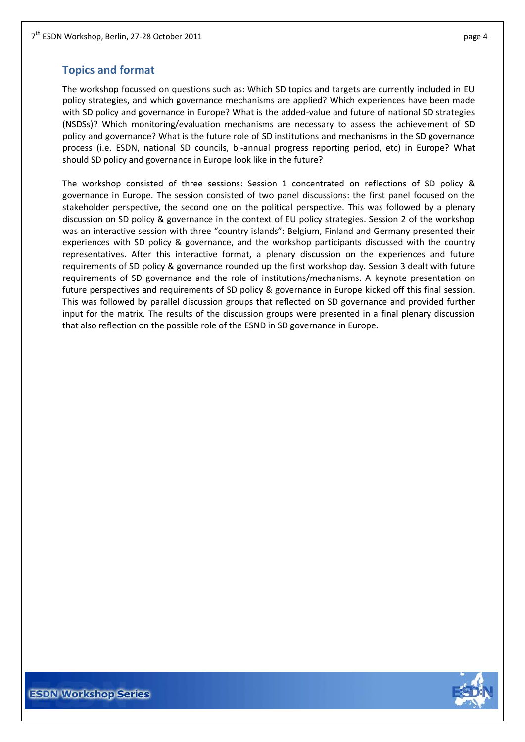## <span id="page-3-0"></span>**Topics and format**

The workshop focussed on questions such as: Which SD topics and targets are currently included in EU policy strategies, and which governance mechanisms are applied? Which experiences have been made with SD policy and governance in Europe? What is the added-value and future of national SD strategies (NSDSs)? Which monitoring/evaluation mechanisms are necessary to assess the achievement of SD policy and governance? What is the future role of SD institutions and mechanisms in the SD governance process (i.e. ESDN, national SD councils, bi-annual progress reporting period, etc) in Europe? What should SD policy and governance in Europe look like in the future?

The workshop consisted of three sessions: Session 1 concentrated on reflections of SD policy & governance in Europe. The session consisted of two panel discussions: the first panel focused on the stakeholder perspective, the second one on the political perspective. This was followed by a plenary discussion on SD policy & governance in the context of EU policy strategies. Session 2 of the workshop was an interactive session with three "country islands": Belgium, Finland and Germany presented their experiences with SD policy & governance, and the workshop participants discussed with the country representatives. After this interactive format, a plenary discussion on the experiences and future requirements of SD policy & governance rounded up the first workshop day. Session 3 dealt with future requirements of SD governance and the role of institutions/mechanisms. A keynote presentation on future perspectives and requirements of SD policy & governance in Europe kicked off this final session. This was followed by parallel discussion groups that reflected on SD governance and provided further input for the matrix. The results of the discussion groups were presented in a final plenary discussion that also reflection on the possible role of the ESND in SD governance in Europe.

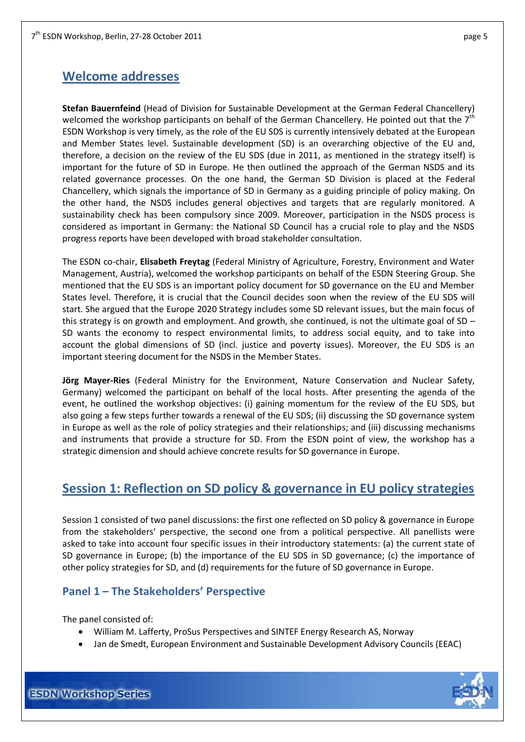## <span id="page-4-0"></span>**Welcome addresses**

**Stefan Bauernfeind** (Head of Division for Sustainable Development at the German Federal Chancellery) welcomed the workshop participants on behalf of the German Chancellery. He pointed out that the  $7<sup>th</sup>$ ESDN Workshop is very timely, as the role of the EU SDS is currently intensively debated at the European and Member States level. Sustainable development (SD) is an overarching objective of the EU and, therefore, a decision on the review of the EU SDS (due in 2011, as mentioned in the strategy itself) is important for the future of SD in Europe. He then outlined the approach of the German NSDS and its related governance processes. On the one hand, the German SD Division is placed at the Federal Chancellery, which signals the importance of SD in Germany as a guiding principle of policy making. On the other hand, the NSDS includes general objectives and targets that are regularly monitored. A sustainability check has been compulsory since 2009. Moreover, participation in the NSDS process is considered as important in Germany: the National SD Council has a crucial role to play and the NSDS progress reports have been developed with broad stakeholder consultation.

The ESDN co-chair, **Elisabeth Freytag** (Federal Ministry of Agriculture, Forestry, Environment and Water Management, Austria), welcomed the workshop participants on behalf of the ESDN Steering Group. She mentioned that the EU SDS is an important policy document for SD governance on the EU and Member States level. Therefore, it is crucial that the Council decides soon when the review of the EU SDS will start. She argued that the Europe 2020 Strategy includes some SD relevant issues, but the main focus of this strategy is on growth and employment. And growth, she continued, is not the ultimate goal of SD – SD wants the economy to respect environmental limits, to address social equity, and to take into account the global dimensions of SD (incl. justice and poverty issues). Moreover, the EU SDS is an important steering document for the NSDS in the Member States.

**Jörg Mayer-Ries** (Federal Ministry for the Environment, Nature Conservation and Nuclear Safety, Germany) welcomed the participant on behalf of the local hosts. After presenting the agenda of the event, he outlined the workshop objectives: (i) gaining momentum for the review of the EU SDS, but also going a few steps further towards a renewal of the EU SDS; (ii) discussing the SD governance system in Europe as well as the role of policy strategies and their relationships; and (iii) discussing mechanisms and instruments that provide a structure for SD. From the ESDN point of view, the workshop has a strategic dimension and should achieve concrete results for SD governance in Europe.

## <span id="page-4-1"></span>**Session 1: Reflection on SD policy & governance in EU policy strategies**

Session 1 consisted of two panel discussions: the first one reflected on SD policy & governance in Europe from the stakeholders' perspective, the second one from a political perspective. All panellists were asked to take into account four specific issues in their introductory statements: (a) the current state of SD governance in Europe; (b) the importance of the EU SDS in SD governance; (c) the importance of other policy strategies for SD, and (d) requirements for the future of SD governance in Europe.

### <span id="page-4-2"></span>**Panel 1 – The Stakeholders' Perspective**

The panel consisted of:

- William M. Lafferty, ProSus Perspectives and SINTEF Energy Research AS, Norway
- Jan de Smedt, European Environment and Sustainable Development Advisory Councils (EEAC)

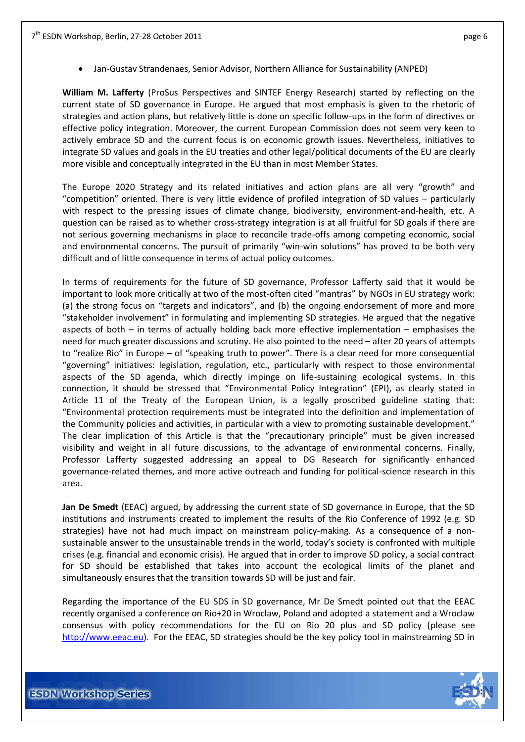Jan-Gustav Strandenaes, Senior Advisor, Northern Alliance for Sustainability (ANPED)

**William M. Lafferty** (ProSus Perspectives and SINTEF Energy Research) started by reflecting on the current state of SD governance in Europe. He argued that most emphasis is given to the rhetoric of strategies and action plans, but relatively little is done on specific follow-ups in the form of directives or effective policy integration. Moreover, the current European Commission does not seem very keen to actively embrace SD and the current focus is on economic growth issues. Nevertheless, initiatives to integrate SD values and goals in the EU treaties and other legal/political documents of the EU are clearly more visible and conceptually integrated in the EU than in most Member States.

The Europe 2020 Strategy and its related initiatives and action plans are all very "growth" and "competition" oriented. There is very little evidence of profiled integration of SD values – particularly with respect to the pressing issues of climate change, biodiversity, environment-and-health, etc. A question can be raised as to whether cross-strategy integration is at all fruitful for SD goals if there are not serious governing mechanisms in place to reconcile trade-offs among competing economic, social and environmental concerns. The pursuit of primarily "win-win solutions" has proved to be both very difficult and of little consequence in terms of actual policy outcomes.

In terms of requirements for the future of SD governance, Professor Lafferty said that it would be important to look more critically at two of the most-often cited "mantras" by NGOs in EU strategy work: (a) the strong focus on "targets and indicators", and (b) the ongoing endorsement of more and more "stakeholder involvement" in formulating and implementing SD strategies. He argued that the negative aspects of both – in terms of actually holding back more effective implementation – emphasises the need for much greater discussions and scrutiny. He also pointed to the need – after 20 years of attempts to "realize Rio" in Europe – of "speaking truth to power". There is a clear need for more consequential "governing" initiatives: legislation, regulation, etc., particularly with respect to those environmental aspects of the SD agenda, which directly impinge on life-sustaining ecological systems. In this connection, it should be stressed that "Environmental Policy Integration" (EPI), as clearly stated in Article 11 of the Treaty of the European Union, is a legally proscribed guideline stating that: "Environmental protection requirements must be integrated into the definition and implementation of the Community policies and activities, in particular with a view to promoting sustainable development." The clear implication of this Article is that the "precautionary principle" must be given increased visibility and weight in all future discussions, to the advantage of environmental concerns. Finally, Professor Lafferty suggested addressing an appeal to DG Research for significantly enhanced governance-related themes, and more active outreach and funding for political-science research in this area.

**Jan De Smedt** (EEAC) argued, by addressing the current state of SD governance in Europe, that the SD institutions and instruments created to implement the results of the Rio Conference of 1992 (e.g. SD strategies) have not had much impact on mainstream policy-making. As a consequence of a nonsustainable answer to the unsustainable trends in the world, today's society is confronted with multiple crises (e.g. financial and economic crisis). He argued that in order to improve SD policy, a social contract for SD should be established that takes into account the ecological limits of the planet and simultaneously ensures that the transition towards SD will be just and fair.

Regarding the importance of the EU SDS in SD governance, Mr De Smedt pointed out that the EEAC recently organised a conference on Rio+20 in Wroclaw, Poland and adopted a statement and a Wroclaw consensus with policy recommendations for the EU on Rio 20 plus and SD policy (please see [http://www.eeac.eu\)](http://www.eeac.eu/). For the EEAC, SD strategies should be the key policy tool in mainstreaming SD in

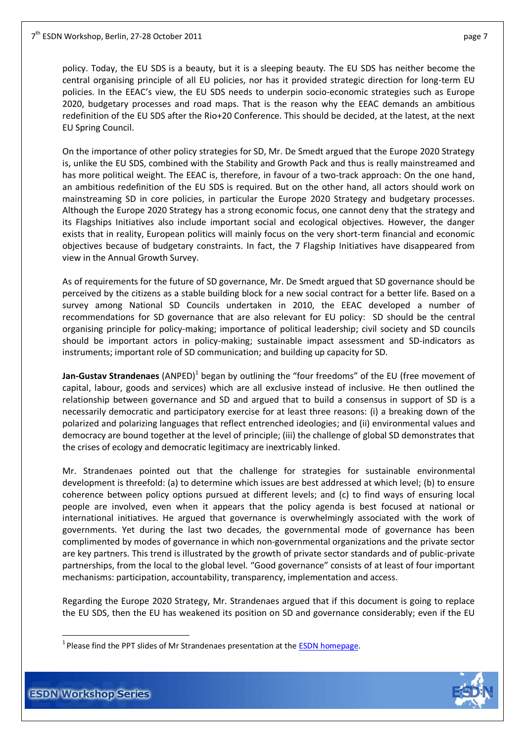policy. Today, the EU SDS is a beauty, but it is a sleeping beauty. The EU SDS has neither become the central organising principle of all EU policies, nor has it provided strategic direction for long-term EU policies. In the EEAC's view, the EU SDS needs to underpin socio-economic strategies such as Europe 2020, budgetary processes and road maps. That is the reason why the EEAC demands an ambitious redefinition of the EU SDS after the Rio+20 Conference. This should be decided, at the latest, at the next EU Spring Council.

On the importance of other policy strategies for SD, Mr. De Smedt argued that the Europe 2020 Strategy is, unlike the EU SDS, combined with the Stability and Growth Pack and thus is really mainstreamed and has more political weight. The EEAC is, therefore, in favour of a two-track approach: On the one hand, an ambitious redefinition of the EU SDS is required. But on the other hand, all actors should work on mainstreaming SD in core policies, in particular the Europe 2020 Strategy and budgetary processes. Although the Europe 2020 Strategy has a strong economic focus, one cannot deny that the strategy and its Flagships Initiatives also include important social and ecological objectives. However, the danger exists that in reality, European politics will mainly focus on the very short-term financial and economic objectives because of budgetary constraints. In fact, the 7 Flagship Initiatives have disappeared from view in the Annual Growth Survey.

As of requirements for the future of SD governance, Mr. De Smedt argued that SD governance should be perceived by the citizens as a stable building block for a new social contract for a better life. Based on a survey among National SD Councils undertaken in 2010, the EEAC developed a number of recommendations for SD governance that are also relevant for EU policy: SD should be the central organising principle for policy-making; importance of political leadership; civil society and SD councils should be important actors in policy-making; sustainable impact assessment and SD-indicators as instruments; important role of SD communication; and building up capacity for SD.

**Jan-Gustav Strandenaes** (ANPED)<sup>1</sup> began by outlining the "four freedoms" of the EU (free movement of capital, labour, goods and services) which are all exclusive instead of inclusive. He then outlined the relationship between governance and SD and argued that to build a consensus in support of SD is a necessarily democratic and participatory exercise for at least three reasons: (i) a breaking down of the polarized and polarizing languages that reflect entrenched ideologies; and (ii) environmental values and democracy are bound together at the level of principle; (iii) the challenge of global SD demonstrates that the crises of ecology and democratic legitimacy are inextricably linked.

Mr. Strandenaes pointed out that the challenge for strategies for sustainable environmental development is threefold: (a) to determine which issues are best addressed at which level; (b) to ensure coherence between policy options pursued at different levels; and (c) to find ways of ensuring local people are involved, even when it appears that the policy agenda is best focused at national or international initiatives. He argued that governance is overwhelmingly associated with the work of governments. Yet during the last two decades, the governmental mode of governance has been complimented by modes of governance in which non-governmental organizations and the private sector are key partners. This trend is illustrated by the growth of private sector standards and of public-private partnerships, from the local to the global level. "Good governance" consists of at least of four important mechanisms: participation, accountability, transparency, implementation and access.

Regarding the Europe 2020 Strategy, Mr. Strandenaes argued that if this document is going to replace the EU SDS, then the EU has weakened its position on SD and governance considerably; even if the EU



<u>.</u>

<sup>&</sup>lt;sup>1</sup> Please find the PPT slides of Mr Strandenaes presentation at the **ESDN** homepage.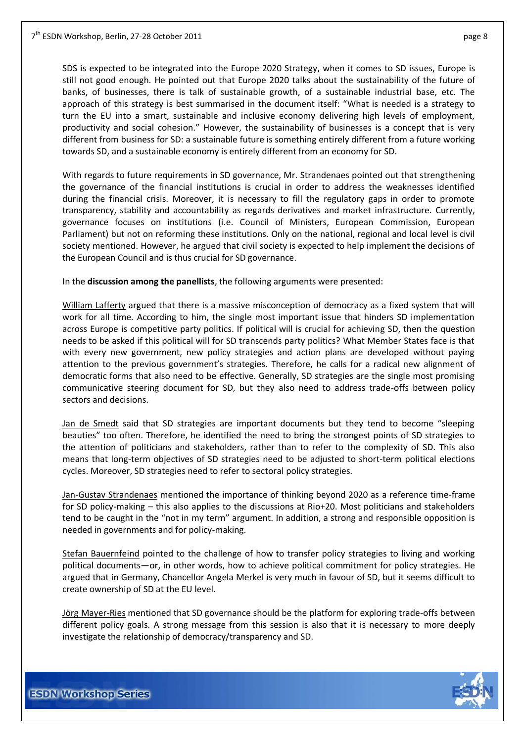SDS is expected to be integrated into the Europe 2020 Strategy, when it comes to SD issues, Europe is still not good enough. He pointed out that Europe 2020 talks about the sustainability of the future of banks, of businesses, there is talk of sustainable growth, of a sustainable industrial base, etc. The approach of this strategy is best summarised in the document itself: "What is needed is a strategy to turn the EU into a smart, sustainable and inclusive economy delivering high levels of employment, productivity and social cohesion." However, the sustainability of businesses is a concept that is very different from business for SD: a sustainable future is something entirely different from a future working towards SD, and a sustainable economy is entirely different from an economy for SD.

With regards to future requirements in SD governance, Mr. Strandenaes pointed out that strengthening the governance of the financial institutions is crucial in order to address the weaknesses identified during the financial crisis. Moreover, it is necessary to fill the regulatory gaps in order to promote transparency, stability and accountability as regards derivatives and market infrastructure. Currently, governance focuses on institutions (i.e. Council of Ministers, European Commission, European Parliament) but not on reforming these institutions. Only on the national, regional and local level is civil society mentioned. However, he argued that civil society is expected to help implement the decisions of the European Council and is thus crucial for SD governance.

In the **discussion among the panellists**, the following arguments were presented:

William Lafferty argued that there is a massive misconception of democracy as a fixed system that will work for all time. According to him, the single most important issue that hinders SD implementation across Europe is competitive party politics. If political will is crucial for achieving SD, then the question needs to be asked if this political will for SD transcends party politics? What Member States face is that with every new government, new policy strategies and action plans are developed without paying attention to the previous government's strategies. Therefore, he calls for a radical new alignment of democratic forms that also need to be effective. Generally, SD strategies are the single most promising communicative steering document for SD, but they also need to address trade-offs between policy sectors and decisions.

Jan de Smedt said that SD strategies are important documents but they tend to become "sleeping beauties" too often. Therefore, he identified the need to bring the strongest points of SD strategies to the attention of politicians and stakeholders, rather than to refer to the complexity of SD. This also means that long-term objectives of SD strategies need to be adjusted to short-term political elections cycles. Moreover, SD strategies need to refer to sectoral policy strategies.

Jan-Gustav Strandenaes mentioned the importance of thinking beyond 2020 as a reference time-frame for SD policy-making – this also applies to the discussions at Rio+20. Most politicians and stakeholders tend to be caught in the "not in my term" argument. In addition, a strong and responsible opposition is needed in governments and for policy-making.

Stefan Bauernfeind pointed to the challenge of how to transfer policy strategies to living and working political documents—or, in other words, how to achieve political commitment for policy strategies. He argued that in Germany, Chancellor Angela Merkel is very much in favour of SD, but it seems difficult to create ownership of SD at the EU level.

Jörg Mayer-Ries mentioned that SD governance should be the platform for exploring trade-offs between different policy goals. A strong message from this session is also that it is necessary to more deeply investigate the relationship of democracy/transparency and SD.

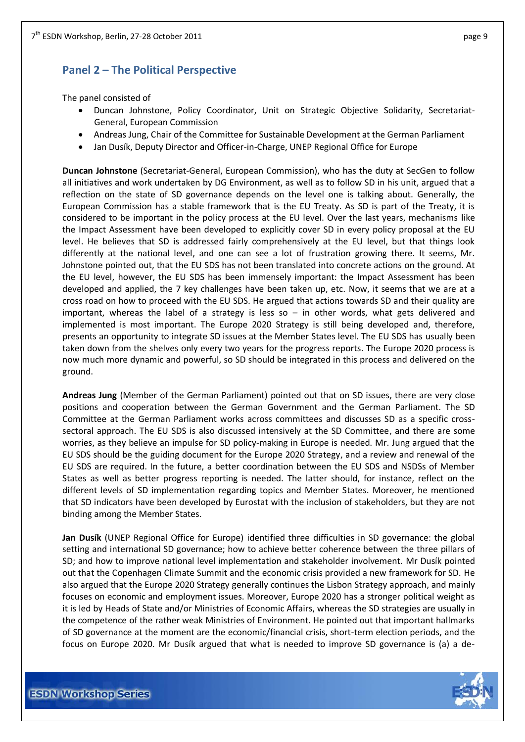## <span id="page-8-0"></span>**Panel 2 – The Political Perspective**

The panel consisted of

- Duncan Johnstone, Policy Coordinator, Unit on Strategic Objective Solidarity, Secretariat-General, European Commission
- Andreas Jung, Chair of the Committee for Sustainable Development at the German Parliament
- Jan Dusík, Deputy Director and Officer-in-Charge, UNEP Regional Office for Europe

**Duncan Johnstone** (Secretariat-General, European Commission), who has the duty at SecGen to follow all initiatives and work undertaken by DG Environment, as well as to follow SD in his unit, argued that a reflection on the state of SD governance depends on the level one is talking about. Generally, the European Commission has a stable framework that is the EU Treaty. As SD is part of the Treaty, it is considered to be important in the policy process at the EU level. Over the last years, mechanisms like the Impact Assessment have been developed to explicitly cover SD in every policy proposal at the EU level. He believes that SD is addressed fairly comprehensively at the EU level, but that things look differently at the national level, and one can see a lot of frustration growing there. It seems, Mr. Johnstone pointed out, that the EU SDS has not been translated into concrete actions on the ground. At the EU level, however, the EU SDS has been immensely important: the Impact Assessment has been developed and applied, the 7 key challenges have been taken up, etc. Now, it seems that we are at a cross road on how to proceed with the EU SDS. He argued that actions towards SD and their quality are important, whereas the label of a strategy is less so  $-$  in other words, what gets delivered and implemented is most important. The Europe 2020 Strategy is still being developed and, therefore, presents an opportunity to integrate SD issues at the Member States level. The EU SDS has usually been taken down from the shelves only every two years for the progress reports. The Europe 2020 process is now much more dynamic and powerful, so SD should be integrated in this process and delivered on the ground.

**Andreas Jung** (Member of the German Parliament) pointed out that on SD issues, there are very close positions and cooperation between the German Government and the German Parliament. The SD Committee at the German Parliament works across committees and discusses SD as a specific crosssectoral approach. The EU SDS is also discussed intensively at the SD Committee, and there are some worries, as they believe an impulse for SD policy-making in Europe is needed. Mr. Jung argued that the EU SDS should be the guiding document for the Europe 2020 Strategy, and a review and renewal of the EU SDS are required. In the future, a better coordination between the EU SDS and NSDSs of Member States as well as better progress reporting is needed. The latter should, for instance, reflect on the different levels of SD implementation regarding topics and Member States. Moreover, he mentioned that SD indicators have been developed by Eurostat with the inclusion of stakeholders, but they are not binding among the Member States.

**Jan Dusík** (UNEP Regional Office for Europe) identified three difficulties in SD governance: the global setting and international SD governance; how to achieve better coherence between the three pillars of SD; and how to improve national level implementation and stakeholder involvement. Mr Dusík pointed out that the Copenhagen Climate Summit and the economic crisis provided a new framework for SD. He also argued that the Europe 2020 Strategy generally continues the Lisbon Strategy approach, and mainly focuses on economic and employment issues. Moreover, Europe 2020 has a stronger political weight as it is led by Heads of State and/or Ministries of Economic Affairs, whereas the SD strategies are usually in the competence of the rather weak Ministries of Environment. He pointed out that important hallmarks of SD governance at the moment are the economic/financial crisis, short-term election periods, and the focus on Europe 2020. Mr Dusík argued that what is needed to improve SD governance is (a) a de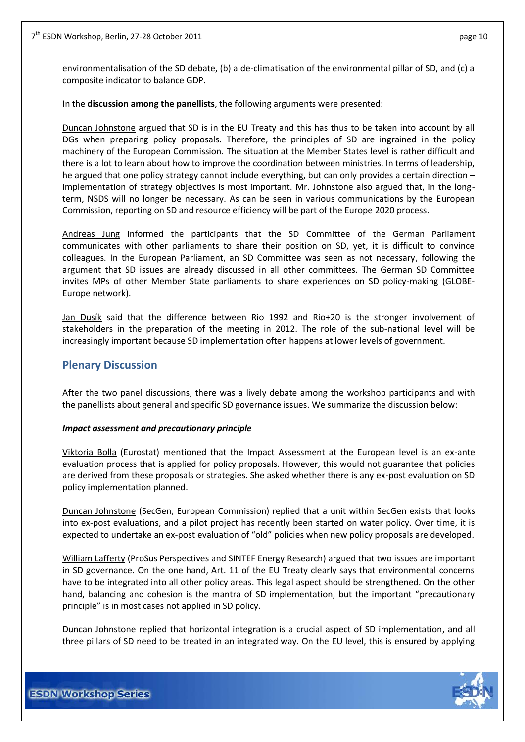environmentalisation of the SD debate, (b) a de-climatisation of the environmental pillar of SD, and (c) a composite indicator to balance GDP.

#### In the **discussion among the panellists**, the following arguments were presented:

Duncan Johnstone argued that SD is in the EU Treaty and this has thus to be taken into account by all DGs when preparing policy proposals. Therefore, the principles of SD are ingrained in the policy machinery of the European Commission. The situation at the Member States level is rather difficult and there is a lot to learn about how to improve the coordination between ministries. In terms of leadership, he argued that one policy strategy cannot include everything, but can only provides a certain direction – implementation of strategy objectives is most important. Mr. Johnstone also argued that, in the longterm, NSDS will no longer be necessary. As can be seen in various communications by the European Commission, reporting on SD and resource efficiency will be part of the Europe 2020 process.

Andreas Jung informed the participants that the SD Committee of the German Parliament communicates with other parliaments to share their position on SD, yet, it is difficult to convince colleagues. In the European Parliament, an SD Committee was seen as not necessary, following the argument that SD issues are already discussed in all other committees. The German SD Committee invites MPs of other Member State parliaments to share experiences on SD policy-making (GLOBE-Europe network).

Jan Dusík said that the difference between Rio 1992 and Rio+20 is the stronger involvement of stakeholders in the preparation of the meeting in 2012. The role of the sub-national level will be increasingly important because SD implementation often happens at lower levels of government.

## <span id="page-9-0"></span>**Plenary Discussion**

After the two panel discussions, there was a lively debate among the workshop participants and with the panellists about general and specific SD governance issues. We summarize the discussion below:

#### *Impact assessment and precautionary principle*

Viktoria Bolla (Eurostat) mentioned that the Impact Assessment at the European level is an ex-ante evaluation process that is applied for policy proposals. However, this would not guarantee that policies are derived from these proposals or strategies. She asked whether there is any ex-post evaluation on SD policy implementation planned.

Duncan Johnstone (SecGen, European Commission) replied that a unit within SecGen exists that looks into ex-post evaluations, and a pilot project has recently been started on water policy. Over time, it is expected to undertake an ex-post evaluation of "old" policies when new policy proposals are developed.

William Lafferty (ProSus Perspectives and SINTEF Energy Research) argued that two issues are important in SD governance. On the one hand, Art. 11 of the EU Treaty clearly says that environmental concerns have to be integrated into all other policy areas. This legal aspect should be strengthened. On the other hand, balancing and cohesion is the mantra of SD implementation, but the important "precautionary principle" is in most cases not applied in SD policy.

Duncan Johnstone replied that horizontal integration is a crucial aspect of SD implementation, and all three pillars of SD need to be treated in an integrated way. On the EU level, this is ensured by applying

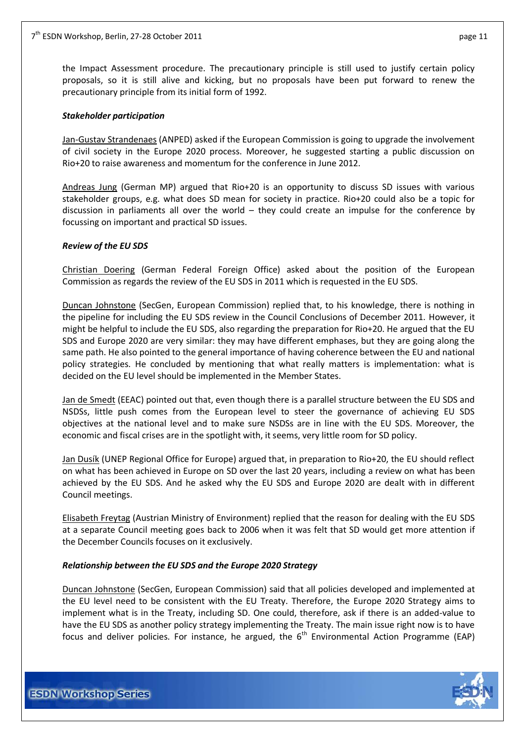the Impact Assessment procedure. The precautionary principle is still used to justify certain policy proposals, so it is still alive and kicking, but no proposals have been put forward to renew the precautionary principle from its initial form of 1992.

#### *Stakeholder participation*

Jan-Gustav Strandenaes (ANPED) asked if the European Commission is going to upgrade the involvement of civil society in the Europe 2020 process. Moreover, he suggested starting a public discussion on Rio+20 to raise awareness and momentum for the conference in June 2012.

Andreas Jung (German MP) argued that Rio+20 is an opportunity to discuss SD issues with various stakeholder groups, e.g. what does SD mean for society in practice. Rio+20 could also be a topic for discussion in parliaments all over the world – they could create an impulse for the conference by focussing on important and practical SD issues.

#### *Review of the EU SDS*

Christian Doering (German Federal Foreign Office) asked about the position of the European Commission as regards the review of the EU SDS in 2011 which is requested in the EU SDS.

Duncan Johnstone (SecGen, European Commission) replied that, to his knowledge, there is nothing in the pipeline for including the EU SDS review in the Council Conclusions of December 2011. However, it might be helpful to include the EU SDS, also regarding the preparation for Rio+20. He argued that the EU SDS and Europe 2020 are very similar: they may have different emphases, but they are going along the same path. He also pointed to the general importance of having coherence between the EU and national policy strategies. He concluded by mentioning that what really matters is implementation: what is decided on the EU level should be implemented in the Member States.

Jan de Smedt (EEAC) pointed out that, even though there is a parallel structure between the EU SDS and NSDSs, little push comes from the European level to steer the governance of achieving EU SDS objectives at the national level and to make sure NSDSs are in line with the EU SDS. Moreover, the economic and fiscal crises are in the spotlight with, it seems, very little room for SD policy.

Jan Dusík (UNEP Regional Office for Europe) argued that, in preparation to Rio+20, the EU should reflect on what has been achieved in Europe on SD over the last 20 years, including a review on what has been achieved by the EU SDS. And he asked why the EU SDS and Europe 2020 are dealt with in different Council meetings.

Elisabeth Freytag (Austrian Ministry of Environment) replied that the reason for dealing with the EU SDS at a separate Council meeting goes back to 2006 when it was felt that SD would get more attention if the December Councils focuses on it exclusively.

#### *Relationship between the EU SDS and the Europe 2020 Strategy*

Duncan Johnstone (SecGen, European Commission) said that all policies developed and implemented at the EU level need to be consistent with the EU Treaty. Therefore, the Europe 2020 Strategy aims to implement what is in the Treaty, including SD. One could, therefore, ask if there is an added-value to have the EU SDS as another policy strategy implementing the Treaty. The main issue right now is to have focus and deliver policies. For instance, he argued, the  $6<sup>th</sup>$  Environmental Action Programme (EAP)

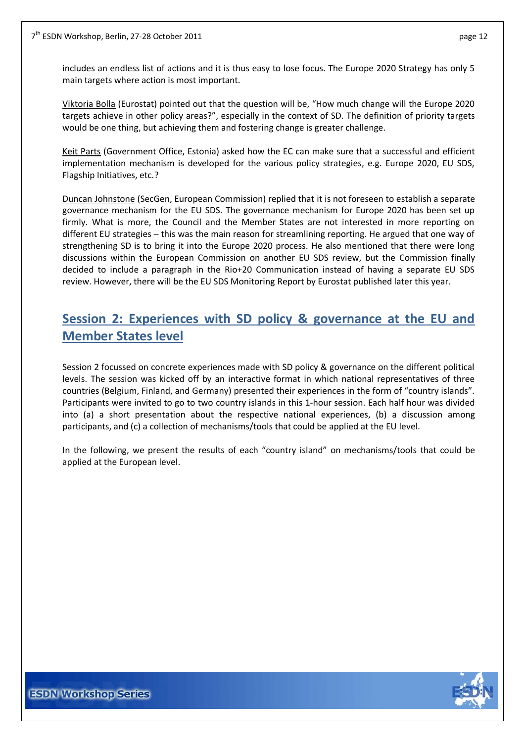includes an endless list of actions and it is thus easy to lose focus. The Europe 2020 Strategy has only 5 main targets where action is most important.

Viktoria Bolla (Eurostat) pointed out that the question will be, "How much change will the Europe 2020 targets achieve in other policy areas?", especially in the context of SD. The definition of priority targets would be one thing, but achieving them and fostering change is greater challenge.

Keit Parts (Government Office, Estonia) asked how the EC can make sure that a successful and efficient implementation mechanism is developed for the various policy strategies, e.g. Europe 2020, EU SDS, Flagship Initiatives, etc.?

Duncan Johnstone (SecGen, European Commission) replied that it is not foreseen to establish a separate governance mechanism for the EU SDS. The governance mechanism for Europe 2020 has been set up firmly. What is more, the Council and the Member States are not interested in more reporting on different EU strategies – this was the main reason for streamlining reporting. He argued that one way of strengthening SD is to bring it into the Europe 2020 process. He also mentioned that there were long discussions within the European Commission on another EU SDS review, but the Commission finally decided to include a paragraph in the Rio+20 Communication instead of having a separate EU SDS review. However, there will be the EU SDS Monitoring Report by Eurostat published later this year.

# <span id="page-11-0"></span>**Session 2: Experiences with SD policy & governance at the EU and Member States level**

Session 2 focussed on concrete experiences made with SD policy & governance on the different political levels. The session was kicked off by an interactive format in which national representatives of three countries (Belgium, Finland, and Germany) presented their experiences in the form of "country islands". Participants were invited to go to two country islands in this 1-hour session. Each half hour was divided into (a) a short presentation about the respective national experiences, (b) a discussion among participants, and (c) a collection of mechanisms/tools that could be applied at the EU level.

In the following, we present the results of each "country island" on mechanisms/tools that could be applied at the European level.

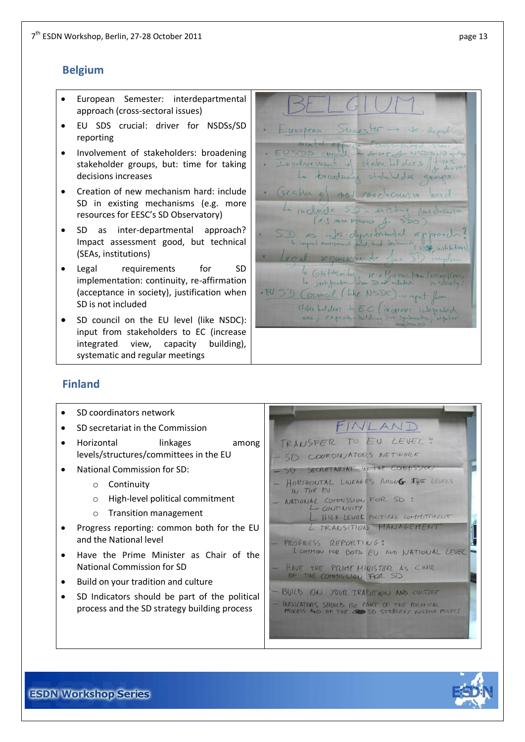## <span id="page-12-0"></span>**Belgium**

- European Semester: interdepartmental approach (cross-sectoral issues)
- EU SDS crucial: driver for NSDSs/SD reporting
- Involvement of stakeholders: broadening stakeholder groups, but: time for taking decisions increases
- Creation of new mechanism hard: include SD in existing mechanisms (e.g. more resources for EESC's SD Observatory)
- SD as inter-departmental approach? Impact assessment good, but technical (SEAs, institutions)
- Legal requirements for SD implementation: continuity, re-affirmation (acceptance in society), justification when SD is not included
- SD council on the EU level (like NSDC): input from stakeholders to EC (increase integrated view, capacity building), systematic and regular meetings

into-depart European Servester USDS couche Des concil = drive for NSDS=10 mg<br>Involvement of stake holders / time La progdessing statuted der groups Graffon e nel mechanism Lo include (P.S. MOV ASOMED 1. as inter-departmented a  $h$ rogr $\ell$  $508$  institutions) ocal remierment lo Ghtinity K-Alformation (arrangement) . EU SD Council (like NSDC) = input from stake holders to EC (in greaser integrated view; capacity-dulder

## <span id="page-12-1"></span>**Finland**

- SD coordinators network SD secretariat in the Commission
- Horizontal linkages among levels/structures/committees in the EU
- National Commission for SD:
	- o Continuity
	- o High-level political commitment
	- o Transition management
- Progress reporting: common both for the EU and the National level
- Have the Prime Minister as Chair of the National Commission for SD
- Build on your tradition and culture
- SD Indicators should be part of the political process and the SD strategy building process



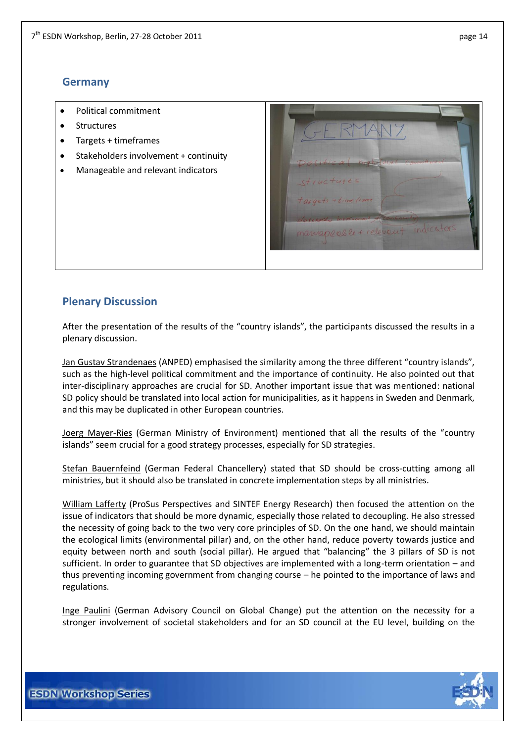## <span id="page-13-0"></span>**Germany**

- Political commitment
- Structures
- Targets + timeframes
- Stakeholders involvement + continuity
- Manageable and relevant indicators



## <span id="page-13-1"></span>**Plenary Discussion**

After the presentation of the results of the "country islands", the participants discussed the results in a plenary discussion.

Jan Gustav Strandenaes (ANPED) emphasised the similarity among the three different "country islands", such as the high-level political commitment and the importance of continuity. He also pointed out that inter-disciplinary approaches are crucial for SD. Another important issue that was mentioned: national SD policy should be translated into local action for municipalities, as it happens in Sweden and Denmark, and this may be duplicated in other European countries.

Joerg Mayer-Ries (German Ministry of Environment) mentioned that all the results of the "country islands" seem crucial for a good strategy processes, especially for SD strategies.

Stefan Bauernfeind (German Federal Chancellery) stated that SD should be cross-cutting among all ministries, but it should also be translated in concrete implementation steps by all ministries.

William Lafferty (ProSus Perspectives and SINTEF Energy Research) then focused the attention on the issue of indicators that should be more dynamic, especially those related to decoupling. He also stressed the necessity of going back to the two very core principles of SD. On the one hand, we should maintain the ecological limits (environmental pillar) and, on the other hand, reduce poverty towards justice and equity between north and south (social pillar). He argued that "balancing" the 3 pillars of SD is not sufficient. In order to guarantee that SD objectives are implemented with a long-term orientation – and thus preventing incoming government from changing course – he pointed to the importance of laws and regulations.

Inge Paulini (German Advisory Council on Global Change) put the attention on the necessity for a stronger involvement of societal stakeholders and for an SD council at the EU level, building on the

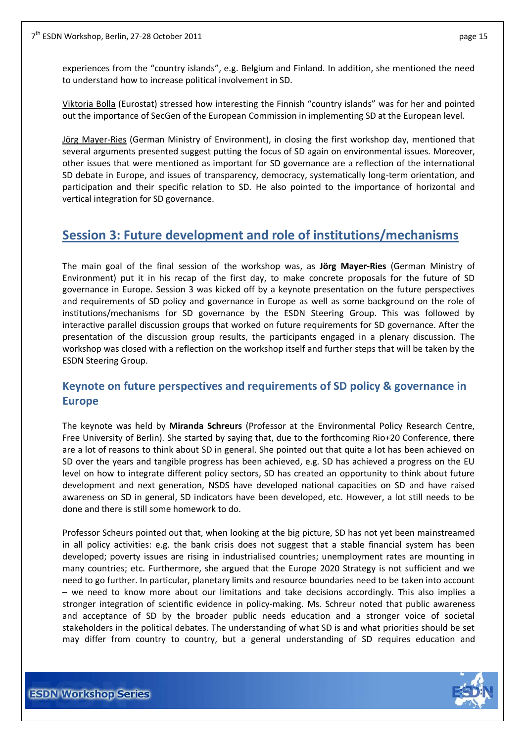experiences from the "country islands", e.g. Belgium and Finland. In addition, she mentioned the need to understand how to increase political involvement in SD.

Viktoria Bolla (Eurostat) stressed how interesting the Finnish "country islands" was for her and pointed out the importance of SecGen of the European Commission in implementing SD at the European level.

Jörg Mayer-Ries (German Ministry of Environment), in closing the first workshop day, mentioned that several arguments presented suggest putting the focus of SD again on environmental issues. Moreover, other issues that were mentioned as important for SD governance are a reflection of the international SD debate in Europe, and issues of transparency, democracy, systematically long-term orientation, and participation and their specific relation to SD. He also pointed to the importance of horizontal and vertical integration for SD governance.

## <span id="page-14-0"></span>**Session 3: Future development and role of institutions/mechanisms**

The main goal of the final session of the workshop was, as **Jörg Mayer-Ries** (German Ministry of Environment) put it in his recap of the first day, to make concrete proposals for the future of SD governance in Europe. Session 3 was kicked off by a keynote presentation on the future perspectives and requirements of SD policy and governance in Europe as well as some background on the role of institutions/mechanisms for SD governance by the ESDN Steering Group. This was followed by interactive parallel discussion groups that worked on future requirements for SD governance. After the presentation of the discussion group results, the participants engaged in a plenary discussion. The workshop was closed with a reflection on the workshop itself and further steps that will be taken by the ESDN Steering Group.

## <span id="page-14-1"></span>**Keynote on future perspectives and requirements of SD policy & governance in Europe**

The keynote was held by **Miranda Schreurs** (Professor at the Environmental Policy Research Centre, Free University of Berlin). She started by saying that, due to the forthcoming Rio+20 Conference, there are a lot of reasons to think about SD in general. She pointed out that quite a lot has been achieved on SD over the years and tangible progress has been achieved, e.g. SD has achieved a progress on the EU level on how to integrate different policy sectors, SD has created an opportunity to think about future development and next generation, NSDS have developed national capacities on SD and have raised awareness on SD in general, SD indicators have been developed, etc. However, a lot still needs to be done and there is still some homework to do.

Professor Scheurs pointed out that, when looking at the big picture, SD has not yet been mainstreamed in all policy activities: e.g. the bank crisis does not suggest that a stable financial system has been developed; poverty issues are rising in industrialised countries; unemployment rates are mounting in many countries; etc. Furthermore, she argued that the Europe 2020 Strategy is not sufficient and we need to go further. In particular, planetary limits and resource boundaries need to be taken into account – we need to know more about our limitations and take decisions accordingly. This also implies a stronger integration of scientific evidence in policy-making. Ms. Schreur noted that public awareness and acceptance of SD by the broader public needs education and a stronger voice of societal stakeholders in the political debates. The understanding of what SD is and what priorities should be set may differ from country to country, but a general understanding of SD requires education and

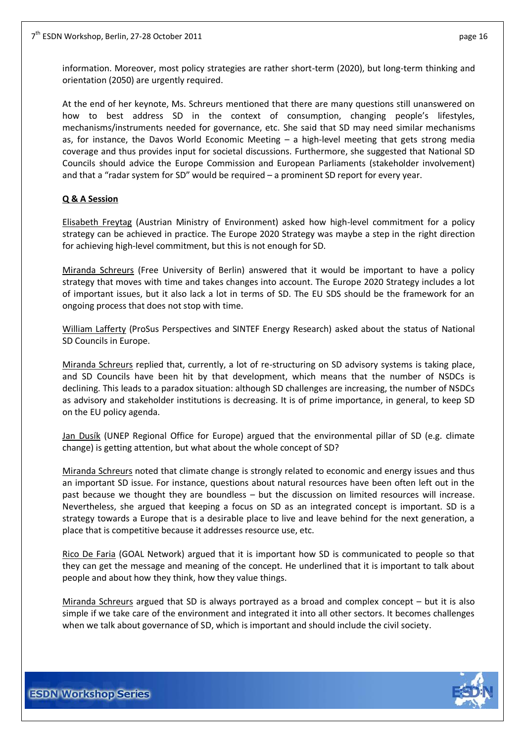information. Moreover, most policy strategies are rather short-term (2020), but long-term thinking and orientation (2050) are urgently required.

At the end of her keynote, Ms. Schreurs mentioned that there are many questions still unanswered on how to best address SD in the context of consumption, changing people's lifestyles, mechanisms/instruments needed for governance, etc. She said that SD may need similar mechanisms as, for instance, the Davos World Economic Meeting – a high-level meeting that gets strong media coverage and thus provides input for societal discussions. Furthermore, she suggested that National SD Councils should advice the Europe Commission and European Parliaments (stakeholder involvement) and that a "radar system for SD" would be required – a prominent SD report for every year.

#### **Q & A Session**

Elisabeth Freytag (Austrian Ministry of Environment) asked how high-level commitment for a policy strategy can be achieved in practice. The Europe 2020 Strategy was maybe a step in the right direction for achieving high-level commitment, but this is not enough for SD.

Miranda Schreurs (Free University of Berlin) answered that it would be important to have a policy strategy that moves with time and takes changes into account. The Europe 2020 Strategy includes a lot of important issues, but it also lack a lot in terms of SD. The EU SDS should be the framework for an ongoing process that does not stop with time.

William Lafferty (ProSus Perspectives and SINTEF Energy Research) asked about the status of National SD Councils in Europe.

Miranda Schreurs replied that, currently, a lot of re-structuring on SD advisory systems is taking place, and SD Councils have been hit by that development, which means that the number of NSDCs is declining. This leads to a paradox situation: although SD challenges are increasing, the number of NSDCs as advisory and stakeholder institutions is decreasing. It is of prime importance, in general, to keep SD on the EU policy agenda.

Jan Dusík (UNEP Regional Office for Europe) argued that the environmental pillar of SD (e.g. climate change) is getting attention, but what about the whole concept of SD?

Miranda Schreurs noted that climate change is strongly related to economic and energy issues and thus an important SD issue. For instance, questions about natural resources have been often left out in the past because we thought they are boundless – but the discussion on limited resources will increase. Nevertheless, she argued that keeping a focus on SD as an integrated concept is important. SD is a strategy towards a Europe that is a desirable place to live and leave behind for the next generation, a place that is competitive because it addresses resource use, etc.

Rico De Faria (GOAL Network) argued that it is important how SD is communicated to people so that they can get the message and meaning of the concept. He underlined that it is important to talk about people and about how they think, how they value things.

Miranda Schreurs argued that SD is always portrayed as a broad and complex concept – but it is also simple if we take care of the environment and integrated it into all other sectors. It becomes challenges when we talk about governance of SD, which is important and should include the civil society.

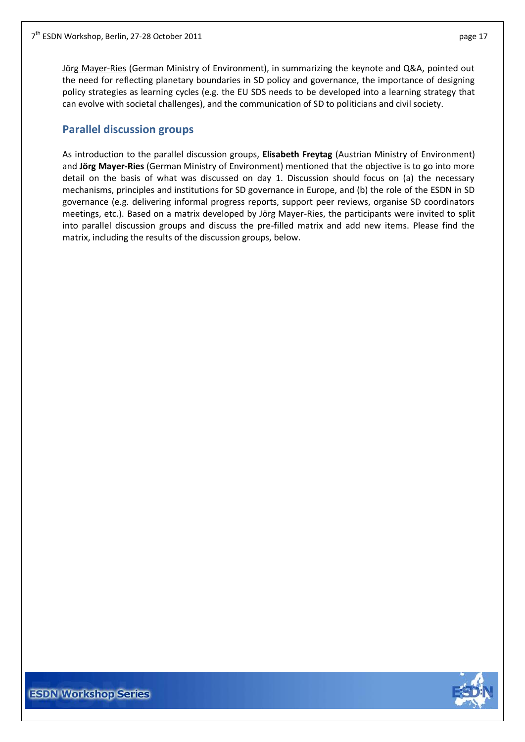Jörg Mayer-Ries (German Ministry of Environment), in summarizing the keynote and Q&A, pointed out the need for reflecting planetary boundaries in SD policy and governance, the importance of designing policy strategies as learning cycles (e.g. the EU SDS needs to be developed into a learning strategy that can evolve with societal challenges), and the communication of SD to politicians and civil society.

## <span id="page-16-0"></span>**Parallel discussion groups**

As introduction to the parallel discussion groups, **Elisabeth Freytag** (Austrian Ministry of Environment) and **Jörg Mayer-Ries** (German Ministry of Environment) mentioned that the objective is to go into more detail on the basis of what was discussed on day 1. Discussion should focus on (a) the necessary mechanisms, principles and institutions for SD governance in Europe, and (b) the role of the ESDN in SD governance (e.g. delivering informal progress reports, support peer reviews, organise SD coordinators meetings, etc.). Based on a matrix developed by Jörg Mayer-Ries, the participants were invited to split into parallel discussion groups and discuss the pre-filled matrix and add new items. Please find the matrix, including the results of the discussion groups, below.

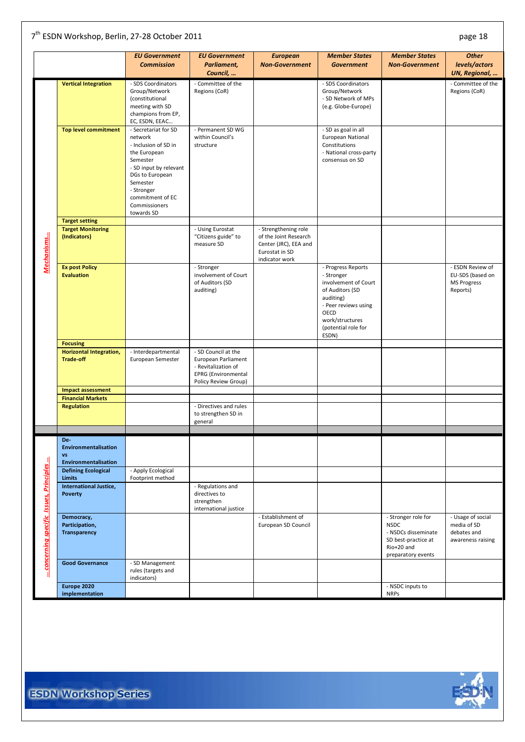#### 7<sup>th</sup> ESDN Workshop, Berlin, 27-28 October 2011 **business and the entity of the entity of the entity of the entity of the entity of the entity of the entity of the entity of the entity of the entity of the entity of the en**

|                                        |                                | <b>EU Government</b>   | <b>EU Government</b>    | <b>European</b>       | <b>Member States</b>   | <b>Member States</b>  | <b>Other</b>                   |
|----------------------------------------|--------------------------------|------------------------|-------------------------|-----------------------|------------------------|-----------------------|--------------------------------|
|                                        |                                | <b>Commission</b>      | Parliament,<br>Council, | <b>Non-Government</b> | <b>Government</b>      | <b>Non-Government</b> | levels/actors<br>UN, Regional, |
|                                        |                                |                        |                         |                       |                        |                       |                                |
|                                        | <b>Vertical Integration</b>    | - SDS Coordinators     | - Committee of the      |                       | - SDS Coordinators     |                       | - Committee of the             |
|                                        |                                | Group/Network          | Regions (CoR)           |                       | Group/Network          |                       | Regions (CoR)                  |
|                                        |                                | (constitutional        |                         |                       | - SD Network of MPs    |                       |                                |
|                                        |                                | meeting with SD        |                         |                       | (e.g. Globe-Europe)    |                       |                                |
|                                        |                                | champions from EP,     |                         |                       |                        |                       |                                |
|                                        |                                | EC, ESDN, EEAC         |                         |                       |                        |                       |                                |
|                                        | <b>Top level commitment</b>    | - Secretariat for SD   | - Permanent SD WG       |                       | - SD as goal in all    |                       |                                |
|                                        |                                | network                | within Council's        |                       | European National      |                       |                                |
|                                        |                                | - Inclusion of SD in   | structure               |                       | Constitutions          |                       |                                |
|                                        |                                | the European           |                         |                       | - National cross-party |                       |                                |
|                                        |                                | Semester               |                         |                       | consensus on SD        |                       |                                |
|                                        |                                | - SD input by relevant |                         |                       |                        |                       |                                |
|                                        |                                | DGs to European        |                         |                       |                        |                       |                                |
|                                        |                                | Semester               |                         |                       |                        |                       |                                |
|                                        |                                | - Stronger             |                         |                       |                        |                       |                                |
|                                        |                                | commitment of EC       |                         |                       |                        |                       |                                |
|                                        |                                | Commissioners          |                         |                       |                        |                       |                                |
|                                        | <b>Target setting</b>          | towards SD             |                         |                       |                        |                       |                                |
|                                        | <b>Target Monitoring</b>       |                        | - Using Eurostat        | - Strengthening role  |                        |                       |                                |
|                                        | (Indicators)                   |                        | "Citizens guide" to     | of the Joint Research |                        |                       |                                |
|                                        |                                |                        | measure SD              | Center (JRC), EEA and |                        |                       |                                |
|                                        |                                |                        |                         | Eurostat in SD        |                        |                       |                                |
|                                        |                                |                        |                         | indicator work        |                        |                       |                                |
| Mechanisms                             | <b>Ex post Policy</b>          |                        | - Stronger              |                       | - Progress Reports     |                       | - ESDN Review of               |
|                                        | <b>Evaluation</b>              |                        | involvement of Court    |                       | - Stronger             |                       | EU-SDS (based on               |
|                                        |                                |                        | of Auditors (SD         |                       | involvement of Court   |                       | <b>MS Progress</b>             |
|                                        |                                |                        | auditing)               |                       | of Auditors (SD        |                       | Reports)                       |
|                                        |                                |                        |                         |                       | auditing)              |                       |                                |
|                                        |                                |                        |                         |                       | - Peer reviews using   |                       |                                |
|                                        |                                |                        |                         |                       | OECD                   |                       |                                |
|                                        |                                |                        |                         |                       | work/structures        |                       |                                |
|                                        |                                |                        |                         |                       | (potential role for    |                       |                                |
|                                        |                                |                        |                         |                       | ESDN)                  |                       |                                |
|                                        | <b>Focusing</b>                |                        |                         |                       |                        |                       |                                |
|                                        | <b>Horizontal Integration,</b> | - Interdepartmental    | - SD Council at the     |                       |                        |                       |                                |
|                                        | <b>Trade-off</b>               | European Semester      | European Parliament     |                       |                        |                       |                                |
|                                        |                                |                        | - Revitalization of     |                       |                        |                       |                                |
|                                        |                                |                        | EPRG (Environmental     |                       |                        |                       |                                |
|                                        | <b>Impact assessment</b>       |                        | Policy Review Group)    |                       |                        |                       |                                |
|                                        | <b>Financial Markets</b>       |                        |                         |                       |                        |                       |                                |
|                                        | <b>Regulation</b>              |                        | - Directives and rules  |                       |                        |                       |                                |
|                                        |                                |                        | to strengthen SD in     |                       |                        |                       |                                |
|                                        |                                |                        | general                 |                       |                        |                       |                                |
|                                        |                                |                        |                         |                       |                        |                       |                                |
|                                        | De-<br>Environmentalisation    |                        |                         |                       |                        |                       |                                |
|                                        | <b>VS</b>                      |                        |                         |                       |                        |                       |                                |
|                                        | Environmentalisation           |                        |                         |                       |                        |                       |                                |
|                                        | <b>Defining Ecological</b>     | - Apply Ecological     |                         |                       |                        |                       |                                |
|                                        | <b>Limits</b>                  | Footprint method       |                         |                       |                        |                       |                                |
|                                        | International Justice,         |                        | - Regulations and       |                       |                        |                       |                                |
|                                        | <b>Poverty</b>                 |                        | directives to           |                       |                        |                       |                                |
|                                        |                                |                        | strengthen              |                       |                        |                       |                                |
|                                        |                                |                        | international justice   |                       |                        |                       |                                |
|                                        | Democracy,                     |                        |                         | - Establishment of    |                        | - Stronger role for   | - Usage of social              |
|                                        | Participation,                 |                        |                         | European SD Council   |                        | <b>NSDC</b>           | media of SD                    |
|                                        | <b>Transparency</b>            |                        |                         |                       |                        | - NSDCs disseminate   | debates and                    |
|                                        |                                |                        |                         |                       |                        | SD best-practice at   | awareness raising              |
|                                        |                                |                        |                         |                       |                        | Rio+20 and            |                                |
| concerning specific Issues, Principles |                                |                        |                         |                       |                        | preparatory events    |                                |
|                                        | <b>Good Governance</b>         | - SD Management        |                         |                       |                        |                       |                                |
|                                        |                                | rules (targets and     |                         |                       |                        |                       |                                |
|                                        |                                | indicators)            |                         |                       |                        |                       |                                |
|                                        | Europe 2020                    |                        |                         |                       |                        | - NSDC inputs to      |                                |
|                                        | implementation                 |                        |                         |                       |                        | <b>NRPs</b>           |                                |

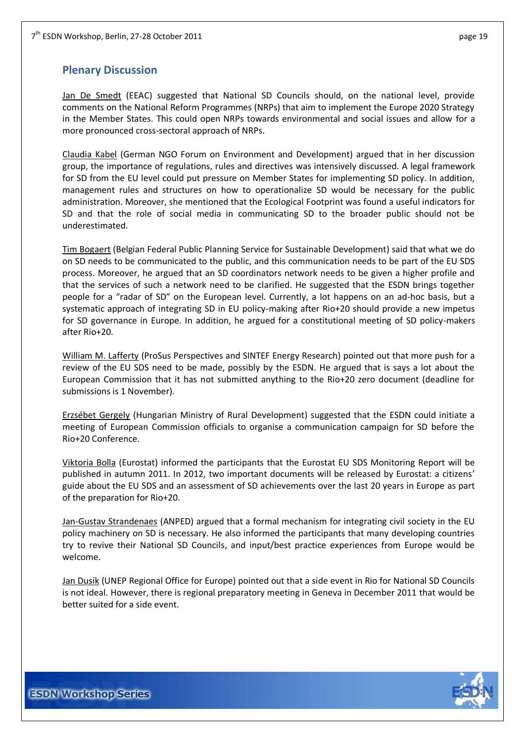## <span id="page-18-0"></span>**Plenary Discussion**

Jan De Smedt (EEAC) suggested that National SD Councils should, on the national level, provide comments on the National Reform Programmes (NRPs) that aim to implement the Europe 2020 Strategy in the Member States. This could open NRPs towards environmental and social issues and allow for a more pronounced cross-sectoral approach of NRPs.

Claudia Kabel (German NGO Forum on Environment and Development) argued that in her discussion group, the importance of regulations, rules and directives was intensively discussed. A legal framework for SD from the EU level could put pressure on Member States for implementing SD policy. In addition, management rules and structures on how to operationalize SD would be necessary for the public administration. Moreover, she mentioned that the Ecological Footprint was found a useful indicators for SD and that the role of social media in communicating SD to the broader public should not be underestimated.

Tim Bogaert (Belgian Federal Public Planning Service for Sustainable Development) said that what we do on SD needs to be communicated to the public, and this communication needs to be part of the EU SDS process. Moreover, he argued that an SD coordinators network needs to be given a higher profile and that the services of such a network need to be clarified. He suggested that the ESDN brings together people for a "radar of SD" on the European level. Currently, a lot happens on an ad-hoc basis, but a systematic approach of integrating SD in EU policy-making after Rio+20 should provide a new impetus for SD governance in Europe. In addition, he argued for a constitutional meeting of SD policy-makers after Rio+20.

William M. Lafferty (ProSus Perspectives and SINTEF Energy Research) pointed out that more push for a review of the EU SDS need to be made, possibly by the ESDN. He argued that is says a lot about the European Commission that it has not submitted anything to the Rio+20 zero document (deadline for submissions is 1 November).

Erzsébet Gergely (Hungarian Ministry of Rural Development) suggested that the ESDN could initiate a meeting of European Commission officials to organise a communication campaign for SD before the Rio+20 Conference.

Viktoria Bolla (Eurostat) informed the participants that the Eurostat EU SDS Monitoring Report will be published in autumn 2011. In 2012, two important documents will be released by Eurostat: a citizens' guide about the EU SDS and an assessment of SD achievements over the last 20 years in Europe as part of the preparation for Rio+20.

Jan-Gustav Strandenaes (ANPED) argued that a formal mechanism for integrating civil society in the EU policy machinery on SD is necessary. He also informed the participants that many developing countries try to revive their National SD Councils, and input/best practice experiences from Europe would be welcome.

Jan Dusík (UNEP Regional Office for Europe) pointed out that a side event in Rio for National SD Councils is not ideal. However, there is regional preparatory meeting in Geneva in December 2011 that would be better suited for a side event.

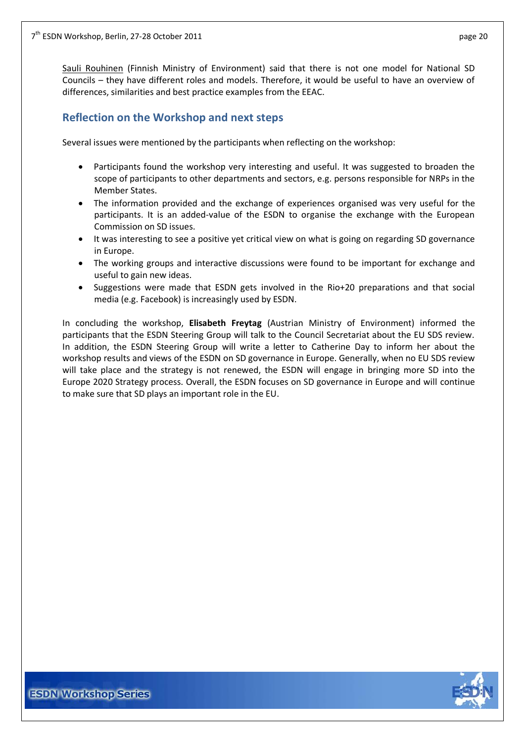Sauli Rouhinen (Finnish Ministry of Environment) said that there is not one model for National SD Councils – they have different roles and models. Therefore, it would be useful to have an overview of differences, similarities and best practice examples from the EEAC.

## <span id="page-19-0"></span>**Reflection on the Workshop and next steps**

Several issues were mentioned by the participants when reflecting on the workshop:

- Participants found the workshop very interesting and useful. It was suggested to broaden the scope of participants to other departments and sectors, e.g. persons responsible for NRPs in the Member States.
- The information provided and the exchange of experiences organised was very useful for the participants. It is an added-value of the ESDN to organise the exchange with the European Commission on SD issues.
- It was interesting to see a positive yet critical view on what is going on regarding SD governance in Europe.
- The working groups and interactive discussions were found to be important for exchange and useful to gain new ideas.
- Suggestions were made that ESDN gets involved in the Rio+20 preparations and that social media (e.g. Facebook) is increasingly used by ESDN.

In concluding the workshop, **Elisabeth Freytag** (Austrian Ministry of Environment) informed the participants that the ESDN Steering Group will talk to the Council Secretariat about the EU SDS review. In addition, the ESDN Steering Group will write a letter to Catherine Day to inform her about the workshop results and views of the ESDN on SD governance in Europe. Generally, when no EU SDS review will take place and the strategy is not renewed, the ESDN will engage in bringing more SD into the Europe 2020 Strategy process. Overall, the ESDN focuses on SD governance in Europe and will continue to make sure that SD plays an important role in the EU.

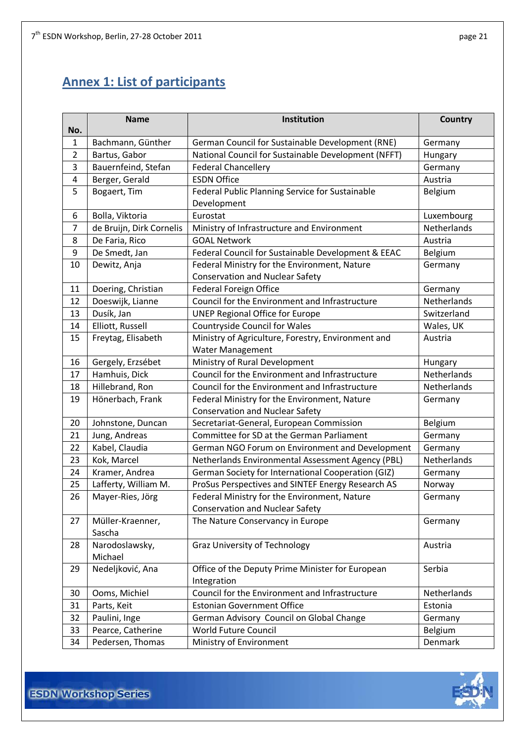# <span id="page-20-0"></span>**Annex 1: List of participants**

| No.            | <b>Name</b>                | Institution                                         | <b>Country</b>     |
|----------------|----------------------------|-----------------------------------------------------|--------------------|
| $\mathbf{1}$   | Bachmann, Günther          | German Council for Sustainable Development (RNE)    | Germany            |
| $\overline{2}$ | Bartus, Gabor              | National Council for Sustainable Development (NFFT) | Hungary            |
| 3              | Bauernfeind, Stefan        | <b>Federal Chancellery</b>                          | Germany            |
| 4              | Berger, Gerald             | <b>ESDN Office</b>                                  | Austria            |
| 5              | Bogaert, Tim               | Federal Public Planning Service for Sustainable     | Belgium            |
|                |                            | Development                                         |                    |
| 6              | Bolla, Viktoria            | Eurostat                                            | Luxembourg         |
| $\overline{7}$ | de Bruijn, Dirk Cornelis   | Ministry of Infrastructure and Environment          | <b>Netherlands</b> |
| 8              | De Faria, Rico             | <b>GOAL Network</b>                                 | Austria            |
| 9              | De Smedt, Jan              | Federal Council for Sustainable Development & EEAC  | Belgium            |
| 10             | Dewitz, Anja               | Federal Ministry for the Environment, Nature        | Germany            |
|                |                            | <b>Conservation and Nuclear Safety</b>              |                    |
| 11             | Doering, Christian         | <b>Federal Foreign Office</b>                       | Germany            |
| 12             | Doeswijk, Lianne           | Council for the Environment and Infrastructure      | Netherlands        |
| 13             | Dusík, Jan                 | <b>UNEP Regional Office for Europe</b>              | Switzerland        |
| 14             | Elliott, Russell           | <b>Countryside Council for Wales</b>                | Wales, UK          |
| 15             | Freytag, Elisabeth         | Ministry of Agriculture, Forestry, Environment and  | Austria            |
|                |                            | Water Management                                    |                    |
| 16             | Gergely, Erzsébet          | Ministry of Rural Development                       | Hungary            |
| 17             | Hamhuis, Dick              | Council for the Environment and Infrastructure      | Netherlands        |
| 18             | Hillebrand, Ron            | Council for the Environment and Infrastructure      | Netherlands        |
| 19             | Hönerbach, Frank           | Federal Ministry for the Environment, Nature        | Germany            |
|                |                            | <b>Conservation and Nuclear Safety</b>              |                    |
| 20             | Johnstone, Duncan          | Secretariat-General, European Commission            | Belgium            |
| 21             | Jung, Andreas              | Committee for SD at the German Parliament           | Germany            |
| 22             | Kabel, Claudia             | German NGO Forum on Environment and Development     | Germany            |
| 23             | Kok, Marcel                | Netherlands Environmental Assessment Agency (PBL)   | Netherlands        |
| 24             | Kramer, Andrea             | German Society for International Cooperation (GIZ)  | Germany            |
| 25             | Lafferty, William M.       | ProSus Perspectives and SINTEF Energy Research AS   | Norway             |
| 26             | Mayer-Ries, Jörg           | Federal Ministry for the Environment, Nature        | Germany            |
|                |                            | <b>Conservation and Nuclear Safety</b>              |                    |
| 27             | Müller-Kraenner,<br>Sascha | The Nature Conservancy in Europe                    | Germany            |
| 28             | Narodoslawsky,             | <b>Graz University of Technology</b>                | Austria            |
|                | Michael                    |                                                     |                    |
| 29             | Nedeljković, Ana           | Office of the Deputy Prime Minister for European    | Serbia             |
|                |                            | Integration                                         |                    |
| 30             | Ooms, Michiel              | Council for the Environment and Infrastructure      | <b>Netherlands</b> |
| 31             | Parts, Keit                | <b>Estonian Government Office</b>                   | Estonia            |
| 32             | Paulini, Inge              | German Advisory Council on Global Change            | Germany            |
| 33             | Pearce, Catherine          | World Future Council                                | Belgium            |
| 34             | Pedersen, Thomas           | Ministry of Environment                             | Denmark            |